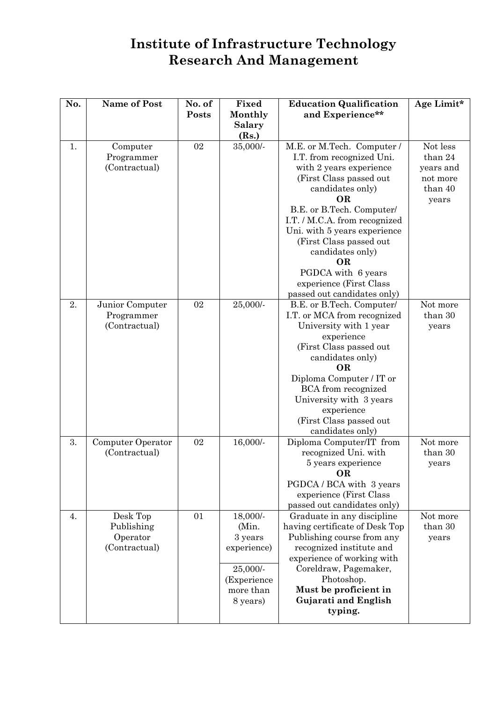## **Institute of Infrastructure Technology Research And Management**

| No. | <b>Name of Post</b> | No. of<br>Posts | Fixed<br>Monthly         | <b>Education Qualification</b><br>and Experience**            | Age Limit* |
|-----|---------------------|-----------------|--------------------------|---------------------------------------------------------------|------------|
|     |                     |                 | <b>Salary</b>            |                                                               |            |
| 1.  | Computer            | 02              | (Rs.)<br>35,000/-        | M.E. or M.Tech. Computer /                                    | Not less   |
|     | Programmer          |                 |                          | I.T. from recognized Uni.                                     | than 24    |
|     | (Contractual)       |                 |                          | with 2 years experience                                       | years and  |
|     |                     |                 |                          | (First Class passed out)                                      | not more   |
|     |                     |                 |                          | candidates only)                                              | than 40    |
|     |                     |                 |                          | <b>OR</b>                                                     | years      |
|     |                     |                 |                          | B.E. or B.Tech. Computer/                                     |            |
|     |                     |                 |                          | I.T. / M.C.A. from recognized<br>Uni. with 5 years experience |            |
|     |                     |                 |                          | (First Class passed out                                       |            |
|     |                     |                 |                          | candidates only)                                              |            |
|     |                     |                 |                          | OR                                                            |            |
|     |                     |                 |                          | PGDCA with 6 years                                            |            |
|     |                     |                 |                          | experience (First Class                                       |            |
|     |                     |                 |                          | passed out candidates only)                                   |            |
| 2.  | Junior Computer     | 02              | 25,000/-                 | B.E. or B.Tech. Computer/                                     | Not more   |
|     | Programmer          |                 |                          | I.T. or MCA from recognized                                   | than 30    |
|     | (Contractual)       |                 |                          | University with 1 year<br>experience                          | years      |
|     |                     |                 |                          | (First Class passed out                                       |            |
|     |                     |                 |                          | candidates only)                                              |            |
|     |                     |                 |                          | <b>OR</b>                                                     |            |
|     |                     |                 |                          | Diploma Computer / IT or                                      |            |
|     |                     |                 |                          | <b>BCA</b> from recognized                                    |            |
|     |                     |                 |                          | University with 3 years                                       |            |
|     |                     |                 |                          | experience                                                    |            |
|     |                     |                 |                          | (First Class passed out<br>candidates only)                   |            |
| 3.  | Computer Operator   | 02              | 16,000/-                 | Diploma Computer/IT from                                      | Not more   |
|     | (Contractual)       |                 |                          | recognized Uni. with                                          | than 30    |
|     |                     |                 |                          | 5 years experience                                            | years      |
|     |                     |                 |                          | <b>OR</b>                                                     |            |
|     |                     |                 |                          | PGDCA / BCA with 3 years                                      |            |
|     |                     |                 |                          | experience (First Class<br>passed out candidates only)        |            |
| 4.  | Desk Top            | 01              | 18,000/-                 | Graduate in any discipline                                    | Not more   |
|     | Publishing          |                 | (Min.                    | having certificate of Desk Top                                | than 30    |
|     | Operator            |                 | 3 years                  | Publishing course from any                                    | years      |
|     | (Contractual)       |                 | experience)              | recognized institute and                                      |            |
|     |                     |                 |                          | experience of working with                                    |            |
|     |                     |                 | $25,000/$ -              | Coreldraw, Pagemaker,                                         |            |
|     |                     |                 | (Experience<br>more than | Photoshop.<br>Must be proficient in                           |            |
|     |                     |                 | 8 years)                 | Gujarati and English                                          |            |
|     |                     |                 |                          | typing.                                                       |            |
|     |                     |                 |                          |                                                               |            |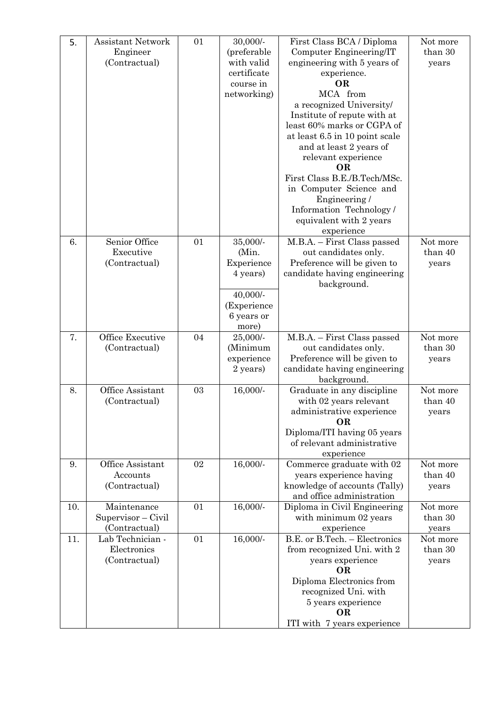| 5.  | <b>Assistant Network</b>   | 01 | 30,000/-                  | First Class BCA / Diploma                                 | Not more            |
|-----|----------------------------|----|---------------------------|-----------------------------------------------------------|---------------------|
|     | Engineer                   |    | (preferable               | Computer Engineering/IT                                   | than 30             |
|     | (Contractual)              |    | with valid<br>certificate | engineering with 5 years of                               | years               |
|     |                            |    | course in                 | experience.<br><b>OR</b>                                  |                     |
|     |                            |    | networking)               | MCA from                                                  |                     |
|     |                            |    |                           | a recognized University/                                  |                     |
|     |                            |    |                           | Institute of repute with at                               |                     |
|     |                            |    |                           | least 60% marks or CGPA of                                |                     |
|     |                            |    |                           | at least 6.5 in 10 point scale                            |                     |
|     |                            |    |                           | and at least 2 years of                                   |                     |
|     |                            |    |                           | relevant experience<br><b>OR</b>                          |                     |
|     |                            |    |                           | First Class B.E./B.Tech/MSc.                              |                     |
|     |                            |    |                           | in Computer Science and                                   |                     |
|     |                            |    |                           | Engineering /                                             |                     |
|     |                            |    |                           | Information Technology/                                   |                     |
|     |                            |    |                           | equivalent with 2 years                                   |                     |
|     |                            |    |                           | experience                                                |                     |
| 6.  | Senior Office<br>Executive | 01 | 35,000/-<br>(Min.         | M.B.A. - First Class passed<br>out candidates only.       | Not more<br>than 40 |
|     | (Contractual)              |    | Experience                | Preference will be given to                               | years               |
|     |                            |    | 4 years)                  | candidate having engineering                              |                     |
|     |                            |    |                           | background.                                               |                     |
|     |                            |    | 40,000/-                  |                                                           |                     |
|     |                            |    | (Experience               |                                                           |                     |
|     |                            |    | 6 years or                |                                                           |                     |
| 7.  | Office Executive           | 04 | more)<br>25,000/-         | M.B.A. - First Class passed                               | Not more            |
|     | (Contractual)              |    | (Minimum                  | out candidates only.                                      | than 30             |
|     |                            |    | experience                | Preference will be given to                               | years               |
|     |                            |    | 2 years)                  | candidate having engineering                              |                     |
|     |                            |    |                           | background.                                               |                     |
| 8.  | Office Assistant           | 03 | 16,000/-                  | Graduate in any discipline                                | Not more            |
|     | (Contractual)              |    |                           | with 02 years relevant                                    | than 40             |
|     |                            |    |                           | administrative experience<br><b>OR</b>                    | years               |
|     |                            |    |                           | Diploma/ITI having 05 years                               |                     |
|     |                            |    |                           | of relevant administrative                                |                     |
|     |                            |    |                           | experience                                                |                     |
| 9.  | Office Assistant           | 02 | 16,000/-                  | Commerce graduate with 02                                 | Not more            |
|     | Accounts                   |    |                           | years experience having                                   | than 40             |
|     | (Contractual)              |    |                           | knowledge of accounts (Tally)                             | years               |
| 10. | Maintenance                | 01 | 16,000/-                  | and office administration<br>Diploma in Civil Engineering | Not more            |
|     | Supervisor - Civil         |    |                           | with minimum 02 years                                     | than 30             |
|     | (Contractual)              |    |                           | experience                                                | years               |
| 11. | Lab Technician -           | 01 | 16,000/-                  | B.E. or B.Tech. - Electronics                             | Not more            |
|     | Electronics                |    |                           | from recognized Uni. with 2                               | than 30             |
|     | (Contractual)              |    |                           | years experience                                          | years               |
|     |                            |    |                           | <b>OR</b>                                                 |                     |
|     |                            |    |                           | Diploma Electronics from                                  |                     |
|     |                            |    |                           | recognized Uni. with<br>5 years experience                |                     |
|     |                            |    |                           | OR                                                        |                     |
|     |                            |    |                           | ITI with 7 years experience                               |                     |
|     |                            |    |                           |                                                           |                     |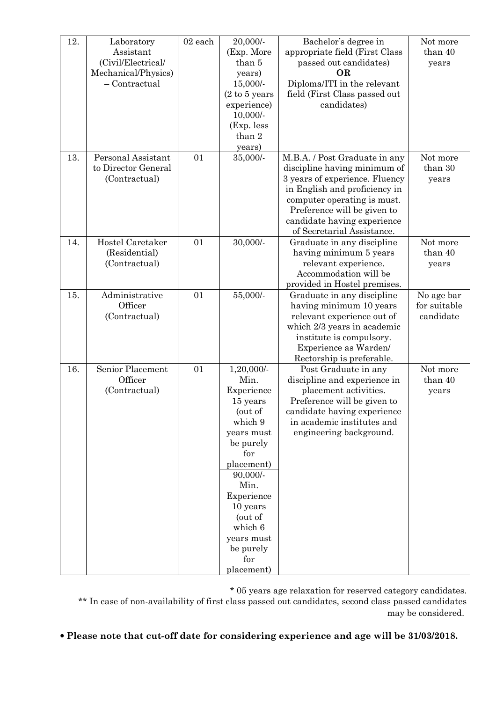| 12. | Laboratory          | 02 each | 20,000/-                          | Bachelor's degree in                                      | Not more            |
|-----|---------------------|---------|-----------------------------------|-----------------------------------------------------------|---------------------|
|     | Assistant           |         | (Exp. More                        | appropriate field (First Class                            | than 40             |
|     | (Civil/Electrical/  |         | than 5                            | passed out candidates)                                    | years               |
|     | Mechanical/Physics) |         | years)                            | <b>OR</b>                                                 |                     |
|     | $-$ Contractual     |         | $15,000/$ -                       | Diploma/ITI in the relevant                               |                     |
|     |                     |         | $(2 \text{ to } 5 \text{ years})$ | field (First Class passed out                             |                     |
|     |                     |         | experience)                       | candidates)                                               |                     |
|     |                     |         | $10,000/$ -                       |                                                           |                     |
|     |                     |         | (Exp. less                        |                                                           |                     |
|     |                     |         | than 2                            |                                                           |                     |
|     |                     |         | years)                            |                                                           |                     |
| 13. | Personal Assistant  | 01      | 35,000/-                          | M.B.A. / Post Graduate in any                             | Not more            |
|     | to Director General |         |                                   | discipline having minimum of                              | than 30             |
|     | (Contractual)       |         |                                   | 3 years of experience. Fluency                            | years               |
|     |                     |         |                                   | in English and proficiency in                             |                     |
|     |                     |         |                                   | computer operating is must.                               |                     |
|     |                     |         |                                   | Preference will be given to                               |                     |
|     |                     |         |                                   | candidate having experience                               |                     |
|     |                     |         |                                   | of Secretarial Assistance.                                |                     |
| 14. | Hostel Caretaker    | 01      | 30,000/-                          | Graduate in any discipline                                | Not more            |
|     | (Residential)       |         |                                   | having minimum 5 years                                    | than 40             |
|     | (Contractual)       |         |                                   | relevant experience.                                      | years               |
|     |                     |         |                                   | Accommodation will be                                     |                     |
|     |                     |         |                                   | provided in Hostel premises.                              |                     |
| 15. | Administrative      | 01      | 55,000/-                          | Graduate in any discipline                                | No age bar          |
|     | Officer             |         |                                   | having minimum 10 years                                   | for suitable        |
|     | (Contractual)       |         |                                   | relevant experience out of                                | candidate           |
|     |                     |         |                                   | which 2/3 years in academic                               |                     |
|     |                     |         |                                   | institute is compulsory.                                  |                     |
|     |                     |         |                                   | Experience as Warden/                                     |                     |
|     | Senior Placement    | 01      |                                   | Rectorship is preferable.                                 |                     |
| 16. | Officer             |         | $1,20,000/$ -<br>Min.             | Post Graduate in any                                      | Not more<br>than 40 |
|     |                     |         |                                   | discipline and experience in                              |                     |
|     | (Contractual)       |         | Experience<br>15 years            | placement activities.                                     | years               |
|     |                     |         | (out of                           | Preference will be given to                               |                     |
|     |                     |         | which 9                           | candidate having experience<br>in academic institutes and |                     |
|     |                     |         | years must                        | engineering background.                                   |                     |
|     |                     |         | be purely                         |                                                           |                     |
|     |                     |         | for                               |                                                           |                     |
|     |                     |         | placement)                        |                                                           |                     |
|     |                     |         | $90,000/$ -                       |                                                           |                     |
|     |                     |         | Min.                              |                                                           |                     |
|     |                     |         | Experience                        |                                                           |                     |
|     |                     |         | 10 years                          |                                                           |                     |
|     |                     |         | (out of                           |                                                           |                     |
|     |                     |         | which 6                           |                                                           |                     |
|     |                     |         | years must                        |                                                           |                     |
|     |                     |         | be purely                         |                                                           |                     |
|     |                     |         | for                               |                                                           |                     |
|     |                     |         | placement)                        |                                                           |                     |

\* 05 years age relaxation for reserved category candidates.

\*\* In case of non-availability of first class passed out candidates, second class passed candidates may be considered.

• **Please note that cut-off date for considering experience and age will be 31/03/2018.**